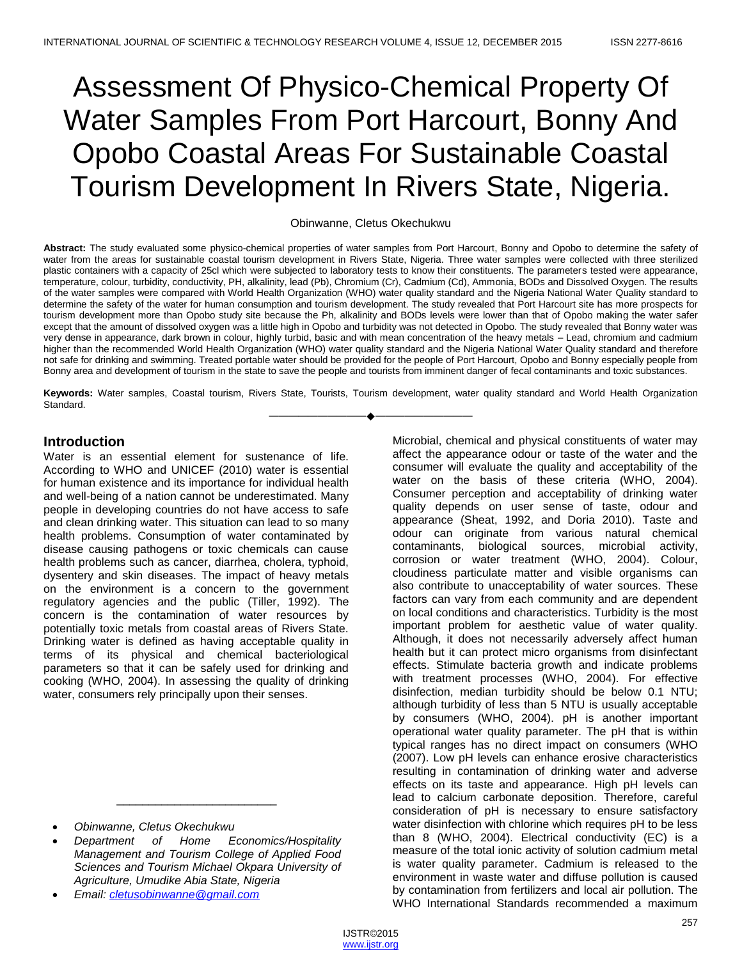# Assessment Of Physico-Chemical Property Of Water Samples From Port Harcourt, Bonny And Opobo Coastal Areas For Sustainable Coastal Tourism Development In Rivers State, Nigeria.

#### Obinwanne, Cletus Okechukwu

**Abstract:** The study evaluated some physico-chemical properties of water samples from Port Harcourt, Bonny and Opobo to determine the safety of water from the areas for sustainable coastal tourism development in Rivers State, Nigeria. Three water samples were collected with three sterilized plastic containers with a capacity of 25cl which were subjected to laboratory tests to know their constituents. The parameters tested were appearance, temperature, colour, turbidity, conductivity, PH, alkalinity, lead (Pb), Chromium (Cr), Cadmium (Cd), Ammonia, BODs and Dissolved Oxygen. The results of the water samples were compared with World Health Organization (WHO) water quality standard and the Nigeria National Water Quality standard to determine the safety of the water for human consumption and tourism development. The study revealed that Port Harcourt site has more prospects for tourism development more than Opobo study site because the Ph, alkalinity and BODs levels were lower than that of Opobo making the water safer except that the amount of dissolved oxygen was a little high in Opobo and turbidity was not detected in Opobo. The study revealed that Bonny water was very dense in appearance, dark brown in colour, highly turbid, basic and with mean concentration of the heavy metals – Lead, chromium and cadmium higher than the recommended World Health Organization (WHO) water quality standard and the Nigeria National Water Quality standard and therefore not safe for drinking and swimming. Treated portable water should be provided for the people of Port Harcourt, Opobo and Bonny especially people from Bonny area and development of tourism in the state to save the people and tourists from imminent danger of fecal contaminants and toxic substances.

**Keywords:** Water samples, Coastal tourism, Rivers State, Tourists, Tourism development, water quality standard and World Health Organization Standard. ————————————————————

#### **Introduction**

Water is an essential element for sustenance of life. According to WHO and UNICEF (2010) water is essential for human existence and its importance for individual health and well-being of a nation cannot be underestimated. Many people in developing countries do not have access to safe and clean drinking water. This situation can lead to so many health problems. Consumption of water contaminated by disease causing pathogens or toxic chemicals can cause health problems such as cancer, diarrhea, cholera, typhoid, dysentery and skin diseases. The impact of heavy metals on the environment is a concern to the government regulatory agencies and the public (Tiller, 1992). The concern is the contamination of water resources by potentially toxic metals from coastal areas of Rivers State. Drinking water is defined as having acceptable quality in terms of its physical and chemical bacteriological parameters so that it can be safely used for drinking and cooking (WHO, 2004). In assessing the quality of drinking water, consumers rely principally upon their senses.

 *Department of Home Economics/Hospitality Management and Tourism College of Applied Food Sciences and Tourism Michael Okpara University of Agriculture, Umudike Abia State, Nigeria* 

\_\_\_\_\_\_\_\_\_\_\_\_\_\_\_\_\_\_\_\_\_\_\_\_\_

*Email: [cletusobinwanne@gmail.com](mailto:cletusobinwanne@gmail.com)*

Microbial, chemical and physical constituents of water may affect the appearance odour or taste of the water and the consumer will evaluate the quality and acceptability of the water on the basis of these criteria (WHO, 2004). Consumer perception and acceptability of drinking water quality depends on user sense of taste, odour and appearance (Sheat, 1992, and Doria 2010). Taste and odour can originate from various natural chemical contaminants, biological sources, microbial activity, corrosion or water treatment (WHO, 2004). Colour, cloudiness particulate matter and visible organisms can also contribute to unacceptability of water sources. These factors can vary from each community and are dependent on local conditions and characteristics. Turbidity is the most important problem for aesthetic value of water quality. Although, it does not necessarily adversely affect human health but it can protect micro organisms from disinfectant effects. Stimulate bacteria growth and indicate problems with treatment processes (WHO, 2004). For effective disinfection, median turbidity should be below 0.1 NTU; although turbidity of less than 5 NTU is usually acceptable by consumers (WHO, 2004). pH is another important operational water quality parameter. The pH that is within typical ranges has no direct impact on consumers (WHO (2007). Low pH levels can enhance erosive characteristics resulting in contamination of drinking water and adverse effects on its taste and appearance. High pH levels can lead to calcium carbonate deposition. Therefore, careful consideration of pH is necessary to ensure satisfactory water disinfection with chlorine which requires pH to be less than 8 (WHO, 2004). Electrical conductivity (EC) is a measure of the total ionic activity of solution cadmium metal is water quality parameter. Cadmium is released to the environment in waste water and diffuse pollution is caused by contamination from fertilizers and local air pollution. The WHO International Standards recommended a maximum

*Obinwanne, Cletus Okechukwu*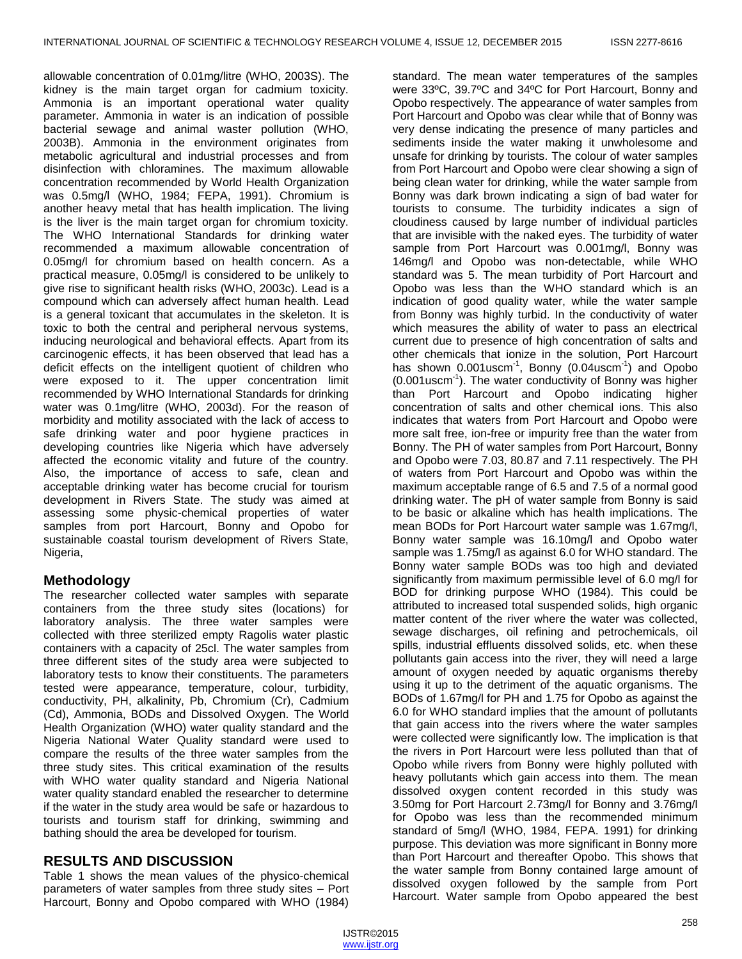allowable concentration of 0.01mg/litre (WHO, 2003S). The kidney is the main target organ for cadmium toxicity. Ammonia is an important operational water quality parameter. Ammonia in water is an indication of possible bacterial sewage and animal waster pollution (WHO, 2003B). Ammonia in the environment originates from metabolic agricultural and industrial processes and from disinfection with chloramines. The maximum allowable concentration recommended by World Health Organization was 0.5mg/l (WHO, 1984; FEPA, 1991). Chromium is another heavy metal that has health implication. The living is the liver is the main target organ for chromium toxicity. The WHO International Standards for drinking water recommended a maximum allowable concentration of 0.05mg/l for chromium based on health concern. As a practical measure, 0.05mg/l is considered to be unlikely to give rise to significant health risks (WHO, 2003c). Lead is a compound which can adversely affect human health. Lead is a general toxicant that accumulates in the skeleton. It is toxic to both the central and peripheral nervous systems, inducing neurological and behavioral effects. Apart from its carcinogenic effects, it has been observed that lead has a deficit effects on the intelligent quotient of children who were exposed to it. The upper concentration limit recommended by WHO International Standards for drinking water was 0.1mg/litre (WHO, 2003d). For the reason of morbidity and motility associated with the lack of access to safe drinking water and poor hygiene practices in developing countries like Nigeria which have adversely affected the economic vitality and future of the country. Also, the importance of access to safe, clean and acceptable drinking water has become crucial for tourism development in Rivers State. The study was aimed at assessing some physic-chemical properties of water samples from port Harcourt, Bonny and Opobo for sustainable coastal tourism development of Rivers State, Nigeria,

# **Methodology**

The researcher collected water samples with separate containers from the three study sites (locations) for laboratory analysis. The three water samples were collected with three sterilized empty Ragolis water plastic containers with a capacity of 25cl. The water samples from three different sites of the study area were subjected to laboratory tests to know their constituents. The parameters tested were appearance, temperature, colour, turbidity, conductivity, PH, alkalinity, Pb, Chromium (Cr), Cadmium (Cd), Ammonia, BODs and Dissolved Oxygen. The World Health Organization (WHO) water quality standard and the Nigeria National Water Quality standard were used to compare the results of the three water samples from the three study sites. This critical examination of the results with WHO water quality standard and Nigeria National water quality standard enabled the researcher to determine if the water in the study area would be safe or hazardous to tourists and tourism staff for drinking, swimming and bathing should the area be developed for tourism.

# **RESULTS AND DISCUSSION**

Table 1 shows the mean values of the physico-chemical parameters of water samples from three study sites – Port Harcourt, Bonny and Opobo compared with WHO (1984)

standard. The mean water temperatures of the samples were 33ºC, 39.7ºC and 34ºC for Port Harcourt, Bonny and Opobo respectively. The appearance of water samples from Port Harcourt and Opobo was clear while that of Bonny was very dense indicating the presence of many particles and sediments inside the water making it unwholesome and unsafe for drinking by tourists. The colour of water samples from Port Harcourt and Opobo were clear showing a sign of being clean water for drinking, while the water sample from Bonny was dark brown indicating a sign of bad water for tourists to consume. The turbidity indicates a sign of cloudiness caused by large number of individual particles that are invisible with the naked eyes. The turbidity of water sample from Port Harcourt was 0.001mg/l, Bonny was 146mg/l and Opobo was non-detectable, while WHO standard was 5. The mean turbidity of Port Harcourt and Opobo was less than the WHO standard which is an indication of good quality water, while the water sample from Bonny was highly turbid. In the conductivity of water which measures the ability of water to pass an electrical current due to presence of high concentration of salts and other chemicals that ionize in the solution, Port Harcourt has shown 0.001uscm<sup>-1</sup>, Bonny (0.04uscm<sup>-1</sup>) and Opobo (0.001uscm-1 ). The water conductivity of Bonny was higher than Port Harcourt and Opobo indicating higher concentration of salts and other chemical ions. This also indicates that waters from Port Harcourt and Opobo were more salt free, ion-free or impurity free than the water from Bonny. The PH of water samples from Port Harcourt, Bonny and Opobo were 7.03, 80.87 and 7.11 respectively. The PH of waters from Port Harcourt and Opobo was within the maximum acceptable range of 6.5 and 7.5 of a normal good drinking water. The pH of water sample from Bonny is said to be basic or alkaline which has health implications. The mean BODs for Port Harcourt water sample was 1.67mg/l, Bonny water sample was 16.10mg/l and Opobo water sample was 1.75mg/l as against 6.0 for WHO standard. The Bonny water sample BODs was too high and deviated significantly from maximum permissible level of 6.0 mg/l for BOD for drinking purpose WHO (1984). This could be attributed to increased total suspended solids, high organic matter content of the river where the water was collected, sewage discharges, oil refining and petrochemicals, oil spills, industrial effluents dissolved solids, etc. when these pollutants gain access into the river, they will need a large amount of oxygen needed by aquatic organisms thereby using it up to the detriment of the aquatic organisms. The BODs of 1.67mg/l for PH and 1.75 for Opobo as against the 6.0 for WHO standard implies that the amount of pollutants that gain access into the rivers where the water samples were collected were significantly low. The implication is that the rivers in Port Harcourt were less polluted than that of Opobo while rivers from Bonny were highly polluted with heavy pollutants which gain access into them. The mean dissolved oxygen content recorded in this study was 3.50mg for Port Harcourt 2.73mg/l for Bonny and 3.76mg/l for Opobo was less than the recommended minimum standard of 5mg/l (WHO, 1984, FEPA. 1991) for drinking purpose. This deviation was more significant in Bonny more than Port Harcourt and thereafter Opobo. This shows that the water sample from Bonny contained large amount of dissolved oxygen followed by the sample from Port Harcourt. Water sample from Opobo appeared the best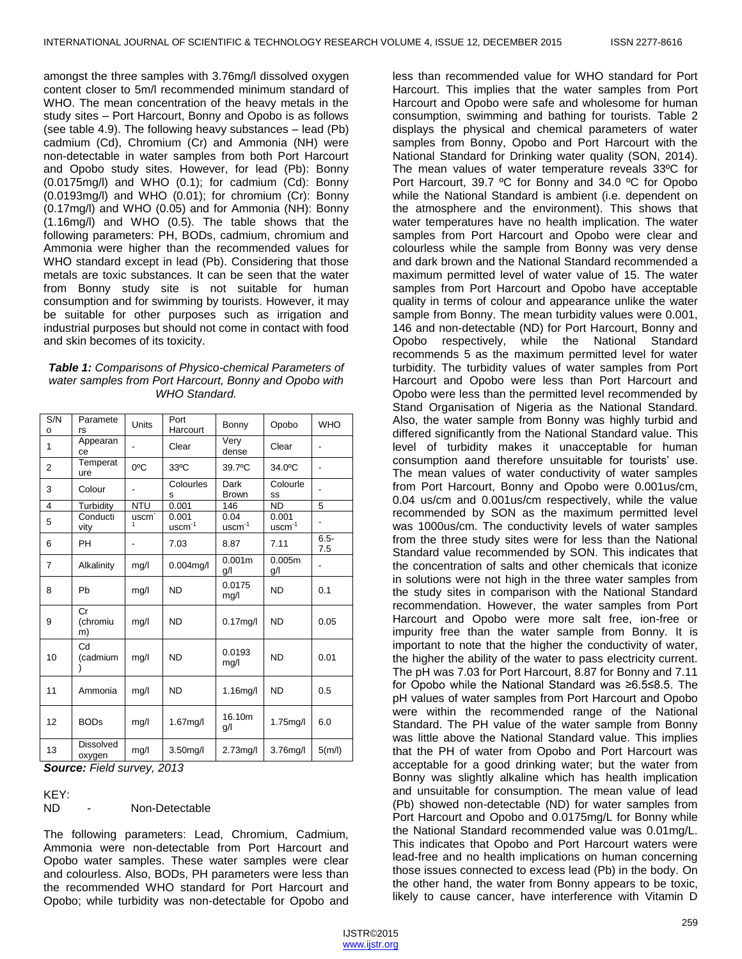amongst the three samples with 3.76mg/l dissolved oxygen content closer to 5m/l recommended minimum standard of WHO. The mean concentration of the heavy metals in the study sites – Port Harcourt, Bonny and Opobo is as follows (see table 4.9). The following heavy substances – lead (Pb) cadmium (Cd), Chromium (Cr) and Ammonia (NH) were non-detectable in water samples from both Port Harcourt and Opobo study sites. However, for lead (Pb): Bonny (0.0175mg/l) and WHO (0.1); for cadmium (Cd): Bonny (0.0193mg/l) and WHO (0.01); for chromium (Cr): Bonny (0.17mg/l) and WHO (0.05) and for Ammonia (NH): Bonny (1.16mg/l) and WHO (0.5). The table shows that the following parameters: PH, BODs, cadmium, chromium and Ammonia were higher than the recommended values for WHO standard except in lead (Pb). Considering that those metals are toxic substances. It can be seen that the water from Bonny study site is not suitable for human consumption and for swimming by tourists. However, it may be suitable for other purposes such as irrigation and industrial purposes but should not come in contact with food and skin becomes of its toxicity.

#### *Table 1: Comparisons of Physico-chemical Parameters of water samples from Port Harcourt, Bonny and Opobo with WHO Standard.*

| S/N<br>o       | Paramete<br>rs             | Units             | Port<br>Harcourt  | Bonny                     | Opobo             | <b>WHO</b>     |
|----------------|----------------------------|-------------------|-------------------|---------------------------|-------------------|----------------|
| 1              | Appearan<br>ce             |                   | Clear             | Very<br>dense             | Clear             |                |
| $\overline{2}$ | Temperat<br>ure            | $0^{\circ}$ C     | 33°C              | 39.7°C                    | 34.0°C            |                |
| 3              | Colour                     | -                 | Colourles<br>s    | Dark<br><b>Brown</b>      | Colourle<br>SS    |                |
| 4              | Turbidity                  | <b>NTU</b>        | 0.001             | 146                       | <b>ND</b>         | 5              |
| 5              | Conducti<br>vity           | uscm <sup>-</sup> | 0.001<br>$uscm-1$ | 0.04<br>$uscm-1$          | 0.001<br>$uscm-1$ |                |
| 6              | <b>PH</b>                  | $\overline{a}$    | 7.03              | 8.87                      | 7.11              | $6.5 -$<br>7.5 |
| $\overline{7}$ | Alkalinity                 | mg/l              | $0.004$ mg/l      | 0.001 <sub>m</sub><br>g/l | 0.005m<br>g/l     |                |
| 8              | Pb                         | mg/l              | <b>ND</b>         | 0.0175<br>mg/l            | <b>ND</b>         | 0.1            |
| 9              | Cr<br>(chromiu<br>m)       | mg/l              | <b>ND</b>         | $0.17$ mg/l               | <b>ND</b>         | 0.05           |
| 10             | Cd<br>(cadmium             | mg/l              | <b>ND</b>         | 0.0193<br>mg/l            | <b>ND</b>         | 0.01           |
| 11             | Ammonia                    | mg/l              | <b>ND</b>         | 1.16mg/l                  | <b>ND</b>         | 0.5            |
| 12             | <b>BODs</b>                | mg/l              | 1.67mg/l          | 16.10m<br>g/l             | 1.75mg/l          | 6.0            |
| 13             | <b>Dissolved</b><br>oxygen | mg/l              | 3.50mg/l          | $2.73$ mg/l               | 3.76mg/l          | 5(m/l)         |

*Source: Field survey, 2013*

KEY:

ND - Non-Detectable

The following parameters: Lead, Chromium, Cadmium, Ammonia were non-detectable from Port Harcourt and Opobo water samples. These water samples were clear and colourless. Also, BODs, PH parameters were less than the recommended WHO standard for Port Harcourt and Opobo; while turbidity was non-detectable for Opobo and

less than recommended value for WHO standard for Port Harcourt. This implies that the water samples from Port Harcourt and Opobo were safe and wholesome for human consumption, swimming and bathing for tourists. Table 2 displays the physical and chemical parameters of water samples from Bonny, Opobo and Port Harcourt with the National Standard for Drinking water quality (SON, 2014). The mean values of water temperature reveals 33ºC for Port Harcourt, 39.7 ºC for Bonny and 34.0 ºC for Opobo while the National Standard is ambient (i.e. dependent on the atmosphere and the environment). This shows that water temperatures have no health implication. The water samples from Port Harcourt and Opobo were clear and colourless while the sample from Bonny was very dense and dark brown and the National Standard recommended a maximum permitted level of water value of 15. The water samples from Port Harcourt and Opobo have acceptable quality in terms of colour and appearance unlike the water sample from Bonny. The mean turbidity values were 0.001, 146 and non-detectable (ND) for Port Harcourt, Bonny and Opobo respectively, while the National Standard recommends 5 as the maximum permitted level for water turbidity. The turbidity values of water samples from Port Harcourt and Opobo were less than Port Harcourt and Opobo were less than the permitted level recommended by Stand Organisation of Nigeria as the National Standard. Also, the water sample from Bonny was highly turbid and differed significantly from the National Standard value. This level of turbidity makes it unacceptable for human consumption aand therefore unsuitable for tourists' use. The mean values of water conductivity of water samples from Port Harcourt, Bonny and Opobo were 0.001us/cm, 0.04 us/cm and 0.001us/cm respectively, while the value recommended by SON as the maximum permitted level was 1000us/cm. The conductivity levels of water samples from the three study sites were for less than the National Standard value recommended by SON. This indicates that the concentration of salts and other chemicals that iconize in solutions were not high in the three water samples from the study sites in comparison with the National Standard recommendation. However, the water samples from Port Harcourt and Opobo were more salt free, ion-free or impurity free than the water sample from Bonny. It is important to note that the higher the conductivity of water, the higher the ability of the water to pass electricity current. The pH was 7.03 for Port Harcourt, 8.87 for Bonny and 7.11 for Opobo while the National Standard was ≥6.5≤8.5. The pH values of water samples from Port Harcourt and Opobo were within the recommended range of the National Standard. The PH value of the water sample from Bonny was little above the National Standard value. This implies that the PH of water from Opobo and Port Harcourt was acceptable for a good drinking water; but the water from Bonny was slightly alkaline which has health implication and unsuitable for consumption. The mean value of lead (Pb) showed non-detectable (ND) for water samples from Port Harcourt and Opobo and 0.0175mg/L for Bonny while the National Standard recommended value was 0.01mg/L. This indicates that Opobo and Port Harcourt waters were lead-free and no health implications on human concerning those issues connected to excess lead (Pb) in the body. On the other hand, the water from Bonny appears to be toxic, likely to cause cancer, have interference with Vitamin D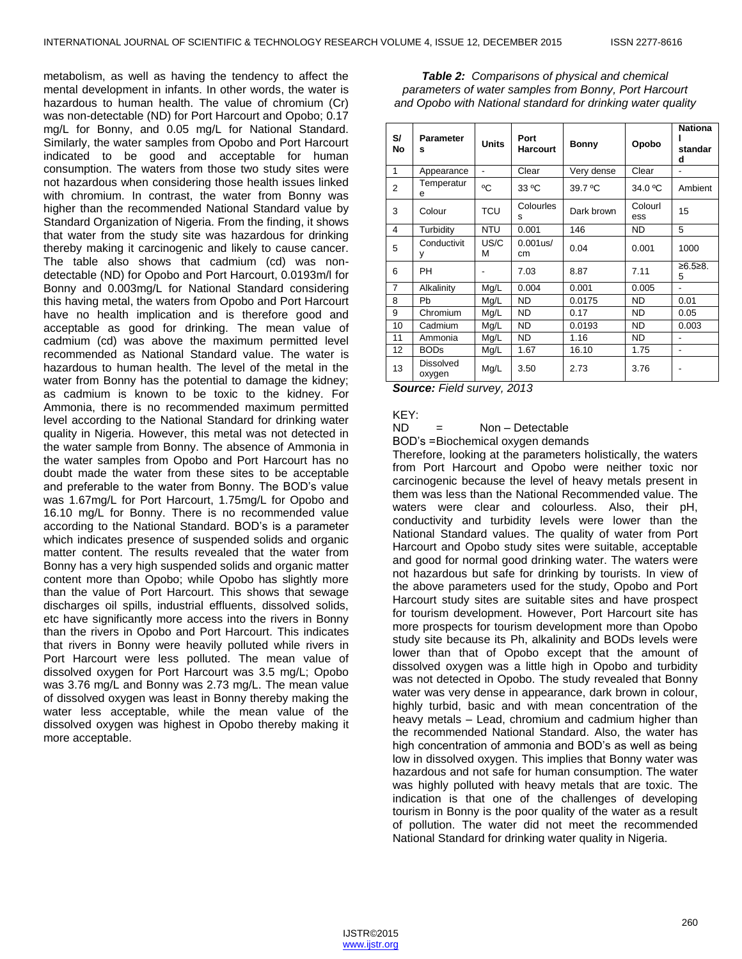metabolism, as well as having the tendency to affect the mental development in infants. In other words, the water is hazardous to human health. The value of chromium (Cr) was non-detectable (ND) for Port Harcourt and Opobo; 0.17 mg/L for Bonny, and 0.05 mg/L for National Standard. Similarly, the water samples from Opobo and Port Harcourt indicated to be good and acceptable for human consumption. The waters from those two study sites were not hazardous when considering those health issues linked with chromium. In contrast, the water from Bonny was higher than the recommended National Standard value by Standard Organization of Nigeria. From the finding, it shows that water from the study site was hazardous for drinking thereby making it carcinogenic and likely to cause cancer. The table also shows that cadmium (cd) was nondetectable (ND) for Opobo and Port Harcourt, 0.0193m/l for Bonny and 0.003mg/L for National Standard considering this having metal, the waters from Opobo and Port Harcourt have no health implication and is therefore good and acceptable as good for drinking. The mean value of cadmium (cd) was above the maximum permitted level recommended as National Standard value. The water is hazardous to human health. The level of the metal in the water from Bonny has the potential to damage the kidney; as cadmium is known to be toxic to the kidney. For Ammonia, there is no recommended maximum permitted level according to the National Standard for drinking water quality in Nigeria. However, this metal was not detected in the water sample from Bonny. The absence of Ammonia in the water samples from Opobo and Port Harcourt has no doubt made the water from these sites to be acceptable and preferable to the water from Bonny. The BOD's value was 1.67mg/L for Port Harcourt, 1.75mg/L for Opobo and 16.10 mg/L for Bonny. There is no recommended value according to the National Standard. BOD's is a parameter which indicates presence of suspended solids and organic matter content. The results revealed that the water from Bonny has a very high suspended solids and organic matter content more than Opobo; while Opobo has slightly more than the value of Port Harcourt. This shows that sewage discharges oil spills, industrial effluents, dissolved solids, etc have significantly more access into the rivers in Bonny than the rivers in Opobo and Port Harcourt. This indicates that rivers in Bonny were heavily polluted while rivers in Port Harcourt were less polluted. The mean value of dissolved oxygen for Port Harcourt was 3.5 mg/L; Opobo was 3.76 mg/L and Bonny was 2.73 mg/L. The mean value of dissolved oxygen was least in Bonny thereby making the water less acceptable, while the mean value of the dissolved oxygen was highest in Opobo thereby making it more acceptable.

*Table 2: Comparisons of physical and chemical parameters of water samples from Bonny, Port Harcourt and Opobo with National standard for drinking water quality*

| S/<br>No       | <b>Parameter</b><br>s      | <b>Units</b>             | Port<br><b>Harcourt</b> | <b>Bonny</b> | Opobo          | <b>Nationa</b><br>standar<br>d |
|----------------|----------------------------|--------------------------|-------------------------|--------------|----------------|--------------------------------|
| 1              | Appearance                 | $\overline{\phantom{0}}$ | Clear                   | Very dense   | Clear          |                                |
| 2              | Temperatur<br>е            | °C                       | 33 °C                   | 39.7 °C      | 34.0 °C        | Ambient                        |
| 3              | Colour                     | <b>TCU</b>               | Colourles<br>s          | Dark brown   | Colourl<br>ess | 15                             |
| 4              | Turbidity                  | <b>NTU</b>               | 0.001                   | 146          | <b>ND</b>      | 5                              |
| 5              | Conductivit<br>у           | US/C<br>М                | $0.001$ us/<br>cm       | 0.04         | 0.001          | 1000                           |
| 6              | PH                         |                          | 7.03                    | 8.87         | 7.11           | ≥6.5≥8.<br>5                   |
| $\overline{7}$ | Alkalinity                 | Mg/L                     | 0.004                   | 0.001        | 0.005          |                                |
| 8              | Pb                         | Mg/L                     | <b>ND</b>               | 0.0175       | <b>ND</b>      | 0.01                           |
| 9              | Chromium                   | Mg/L                     | <b>ND</b>               | 0.17         | <b>ND</b>      | 0.05                           |
| 10             | Cadmium                    | Mg/L                     | <b>ND</b>               | 0.0193       | <b>ND</b>      | 0.003                          |
| 11             | Ammonia                    | Mg/L                     | <b>ND</b>               | 1.16         | <b>ND</b>      |                                |
| 12             | <b>BODs</b>                | Mg/L                     | 1.67                    | 16.10        | 1.75           | $\overline{\phantom{a}}$       |
| 13             | <b>Dissolved</b><br>oxygen | Mg/L                     | 3.50                    | 2.73         | 3.76           |                                |

*Source: Field survey, 2013*

#### KEY:

ND = Non – Detectable

BOD's =Biochemical oxygen demands

Therefore, looking at the parameters holistically, the waters from Port Harcourt and Opobo were neither toxic nor carcinogenic because the level of heavy metals present in them was less than the National Recommended value. The waters were clear and colourless. Also, their pH, conductivity and turbidity levels were lower than the National Standard values. The quality of water from Port Harcourt and Opobo study sites were suitable, acceptable and good for normal good drinking water. The waters were not hazardous but safe for drinking by tourists. In view of the above parameters used for the study, Opobo and Port Harcourt study sites are suitable sites and have prospect for tourism development. However, Port Harcourt site has more prospects for tourism development more than Opobo study site because its Ph, alkalinity and BODs levels were lower than that of Opobo except that the amount of dissolved oxygen was a little high in Opobo and turbidity was not detected in Opobo. The study revealed that Bonny water was very dense in appearance, dark brown in colour, highly turbid, basic and with mean concentration of the heavy metals – Lead, chromium and cadmium higher than the recommended National Standard. Also, the water has high concentration of ammonia and BOD's as well as being low in dissolved oxygen. This implies that Bonny water was hazardous and not safe for human consumption. The water was highly polluted with heavy metals that are toxic. The indication is that one of the challenges of developing tourism in Bonny is the poor quality of the water as a result of pollution. The water did not meet the recommended National Standard for drinking water quality in Nigeria.